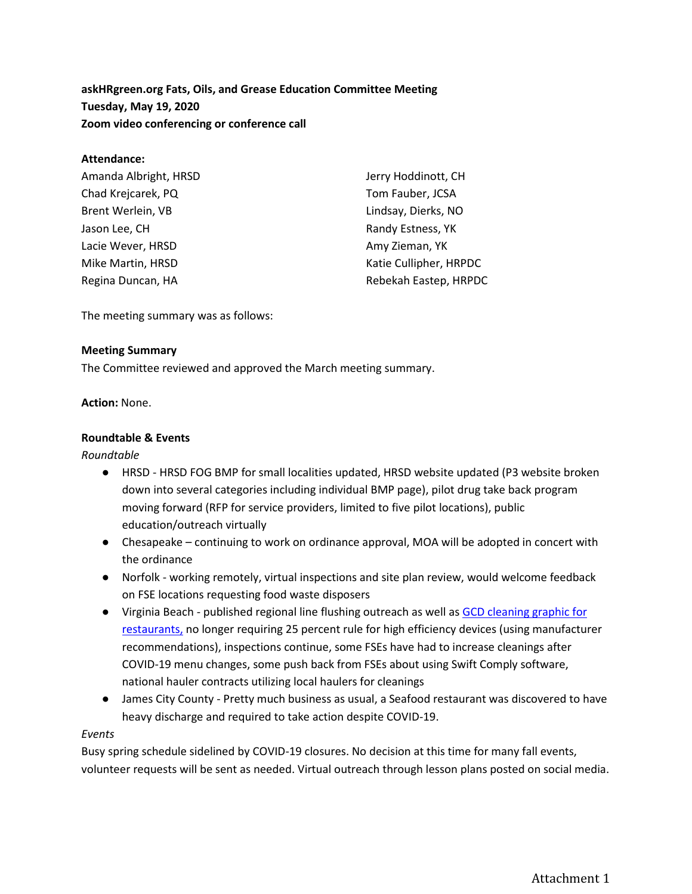**askHRgreen.org Fats, Oils, and Grease Education Committee Meeting Tuesday, May 19, 2020 Zoom video conferencing or conference call**

#### **Attendance:**

| Amanda Albright, HRSD | Jerry Hoddinott, CH    |
|-----------------------|------------------------|
| Chad Krejcarek, PQ    | Tom Fauber, JCSA       |
| Brent Werlein, VB     | Lindsay, Dierks, NO    |
| Jason Lee, CH         | Randy Estness, YK      |
| Lacie Wever, HRSD     | Amy Zieman, YK         |
| Mike Martin, HRSD     | Katie Cullipher, HRPDC |
| Regina Duncan, HA     | Rebekah Eastep, HRPDC  |
|                       |                        |

The meeting summary was as follows:

#### **Meeting Summary**

The Committee reviewed and approved the March meeting summary.

#### **Action:** None.

#### **Roundtable & Events**

## *Roundtable*

- HRSD HRSD FOG BMP for small localities updated, HRSD website updated (P3 website broken down into several categories including individual BMP page), pilot drug take back program moving forward (RFP for service providers, limited to five pilot locations), public education/outreach virtually
- Chesapeake continuing to work on ordinance approval, MOA will be adopted in concert with the ordinance
- Norfolk working remotely, virtual inspections and site plan review, would welcome feedback on FSE locations requesting food waste disposers
- Virginia Beach published regional line flushing outreach as well as GCD cleaning graphic for [restaurants,](https://www.vbgov.com/government/departments/public-utilities/Documents/GCD_Cleaning.pdf) no longer requiring 25 percent rule for high efficiency devices (using manufacturer recommendations), inspections continue, some FSEs have had to increase cleanings after COVID-19 menu changes, some push back from FSEs about using Swift Comply software, national hauler contracts utilizing local haulers for cleanings
- James City County Pretty much business as usual, a Seafood restaurant was discovered to have heavy discharge and required to take action despite COVID-19.

#### *Events*

Busy spring schedule sidelined by COVID-19 closures. No decision at this time for many fall events, volunteer requests will be sent as needed. Virtual outreach through lesson plans posted on social media.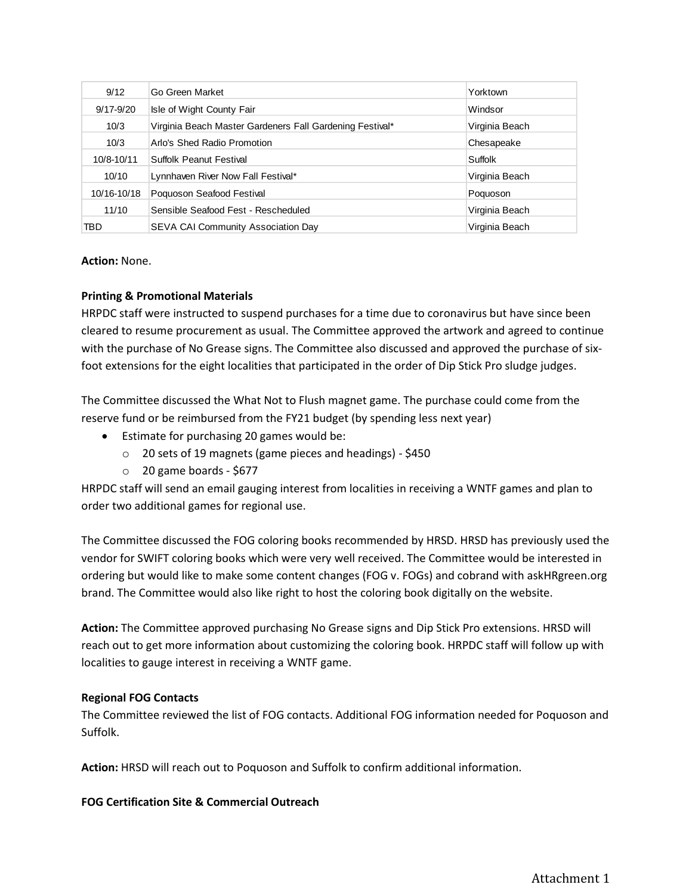| 9/12          | Go Green Market                                          | Yorktown       |
|---------------|----------------------------------------------------------|----------------|
| $9/17 - 9/20$ | Isle of Wight County Fair                                | Windsor        |
| 10/3          | Virginia Beach Master Gardeners Fall Gardening Festival* | Virginia Beach |
| 10/3          | Arlo's Shed Radio Promotion                              | Chesapeake     |
| 10/8-10/11    | Suffolk Peanut Festival                                  | Suffolk        |
| 10/10         | Lynnhaven River Now Fall Festival*                       | Virginia Beach |
| 10/16-10/18   | Poquoson Seafood Festival                                | Poquoson       |
| 11/10         | Sensible Seafood Fest - Rescheduled                      | Virginia Beach |
| TBD           | <b>SEVA CAI Community Association Day</b>                | Virginia Beach |

## **Action:** None.

## **Printing & Promotional Materials**

HRPDC staff were instructed to suspend purchases for a time due to coronavirus but have since been cleared to resume procurement as usual. The Committee approved the artwork and agreed to continue with the purchase of No Grease signs. The Committee also discussed and approved the purchase of sixfoot extensions for the eight localities that participated in the order of Dip Stick Pro sludge judges.

The Committee discussed the What Not to Flush magnet game. The purchase could come from the reserve fund or be reimbursed from the FY21 budget (by spending less next year)

- Estimate for purchasing 20 games would be:
	- o 20 sets of 19 magnets (game pieces and headings) \$450
	- $\circ$  20 game boards \$677

HRPDC staff will send an email gauging interest from localities in receiving a WNTF games and plan to order two additional games for regional use.

The Committee discussed the FOG coloring books recommended by HRSD. HRSD has previously used the vendor for SWIFT coloring books which were very well received. The Committee would be interested in ordering but would like to make some content changes (FOG v. FOGs) and cobrand with askHRgreen.org brand. The Committee would also like right to host the coloring book digitally on the website.

**Action:** The Committee approved purchasing No Grease signs and Dip Stick Pro extensions. HRSD will reach out to get more information about customizing the coloring book. HRPDC staff will follow up with localities to gauge interest in receiving a WNTF game.

## **Regional FOG Contacts**

The Committee reviewed the list of FOG contacts. Additional FOG information needed for Poquoson and Suffolk.

**Action:** HRSD will reach out to Poquoson and Suffolk to confirm additional information.

## **FOG Certification Site & Commercial Outreach**